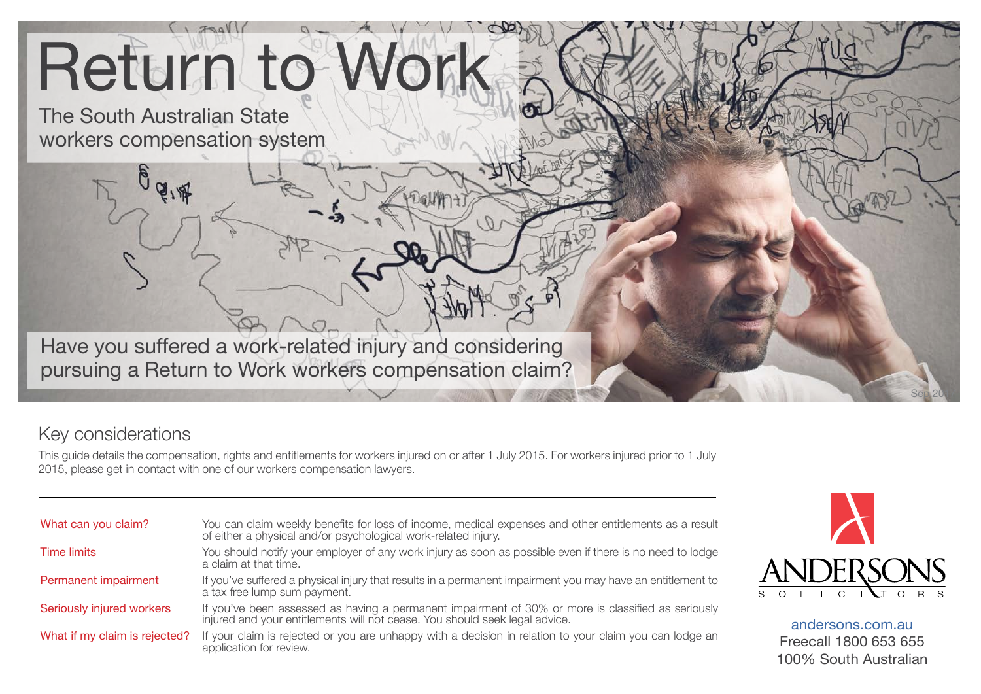# Return to Work

The South Australian State workers compensation system

Have you suffered a work-related injury and considering pursuing a Return to Work workers compensation claim?

# Key considerations

This guide details the compensation, rights and entitlements for workers injured on or after 1 July 2015. For workers injured prior to 1 July 2015, please get in contact with one of our workers compensation lawyers.

| What can you claim?           | You can claim weekly benefits for loss of income, medical expenses and other entitlements as a result<br>of either a physical and/or psychological work-related injury.        |
|-------------------------------|--------------------------------------------------------------------------------------------------------------------------------------------------------------------------------|
| <b>Time limits</b>            | You should notify your employer of any work injury as soon as possible even if there is no need to lodge<br>a claim at that time.                                              |
| Permanent impairment          | If you've suffered a physical injury that results in a permanent impairment you may have an entitlement to<br>a tax free lump sum payment.                                     |
| Seriously injured workers     | If you've been assessed as having a permanent impairment of 30% or more is classified as seriously injured and your entitlements will not cease. You should seek legal advice. |
| What if my claim is rejected? | If your claim is rejected or you are unhappy with a decision in relation to your claim you can lodge an<br>application for review.                                             |



Sep 2017

[andersons.com.au](https://www.andersons.com.au/) Freecall 1800 653 655 100% South Australian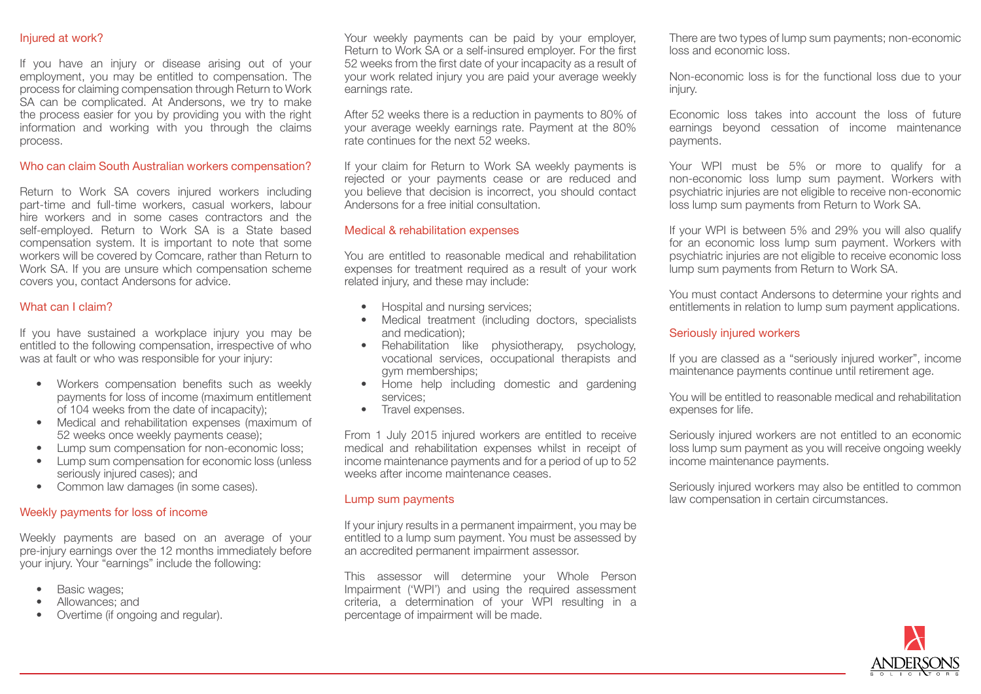# Injured at work?

If you have an injury or disease arising out of your employment, you may be entitled to compensation. The process for claiming compensation through Return to Work SA can be complicated. At Andersons, we try to make the process easier for you by providing you with the right information and working with you through the claims process.

# Who can claim South Australian workers compensation?

Return to Work SA covers injured workers including part-time and full-time workers, casual workers, labour hire workers and in some cases contractors and the self-employed. Return to Work SA is a State based compensation system. It is important to note that some workers will be covered by Comcare, rather than Return to Work SA. If you are unsure which compensation scheme covers you, contact Andersons for advice.

# What can I claim?

If you have sustained a workplace injury you may be entitled to the following compensation, irrespective of who was at fault or who was responsible for your injury:

- Workers compensation benefits such as weekly payments for loss of income (maximum entitlement of 104 weeks from the date of incapacity);
- Medical and rehabilitation expenses (maximum of 52 weeks once weekly payments cease);
- Lump sum compensation for non-economic loss;
- Lump sum compensation for economic loss (unless seriously injured cases); and
- Common law damages (in some cases).

# Weekly payments for loss of income

Weekly payments are based on an average of your pre-injury earnings over the 12 months immediately before your injury. Your "earnings" include the following:

- Basic wages;
- Allowances; and
- Overtime (if ongoing and regular).

Your weekly payments can be paid by your employer, Return to Work SA or a self-insured employer. For the first 52 weeks from the first date of your incapacity as a result of your work related injury you are paid your average weekly earnings rate.

After 52 weeks there is a reduction in payments to 80% of your average weekly earnings rate. Payment at the 80% rate continues for the next 52 weeks.

If your claim for Return to Work SA weekly payments is rejected or your payments cease or are reduced and you believe that decision is incorrect, you should contact Andersons for a free initial consultation.

#### Medical & rehabilitation expenses

You are entitled to reasonable medical and rehabilitation expenses for treatment required as a result of your work related injury, and these may include:

- Hospital and nursing services;
- Medical treatment (including doctors, specialists and medication);
- Rehabilitation like physiotherapy, psychology, vocational services, occupational therapists and gym memberships;
- Home help including domestic and gardening services;
- Travel expenses.

From 1 July 2015 injured workers are entitled to receive medical and rehabilitation expenses whilst in receipt of income maintenance payments and for a period of up to 52 weeks after income maintenance ceases.

#### Lump sum payments

If your injury results in a permanent impairment, you may be entitled to a lump sum payment. You must be assessed by an accredited permanent impairment assessor.

This assessor will determine your Whole Person Impairment ('WPI') and using the required assessment criteria, a determination of your WPI resulting in a percentage of impairment will be made.

There are two types of lump sum payments; non-economic loss and economic loss.

Non-economic loss is for the functional loss due to your injury.

Economic loss takes into account the loss of future earnings beyond cessation of income maintenance payments.

Your WPI must be 5% or more to qualify for a non-economic loss lump sum payment. Workers with psychiatric injuries are not eligible to receive non-economic loss lump sum payments from Return to Work SA.

If your WPI is between 5% and 29% you will also qualify for an economic loss lump sum payment. Workers with psychiatric injuries are not eligible to receive economic loss lump sum payments from Return to Work SA.

You must contact Andersons to determine your rights and entitlements in relation to lump sum payment applications.

# Seriously injured workers

If you are classed as a "seriously injured worker", income maintenance payments continue until retirement age.

You will be entitled to reasonable medical and rehabilitation expenses for life.

Seriously injured workers are not entitled to an economic loss lump sum payment as you will receive ongoing weekly income maintenance payments.

Seriously injured workers may also be entitled to common law compensation in certain circumstances.